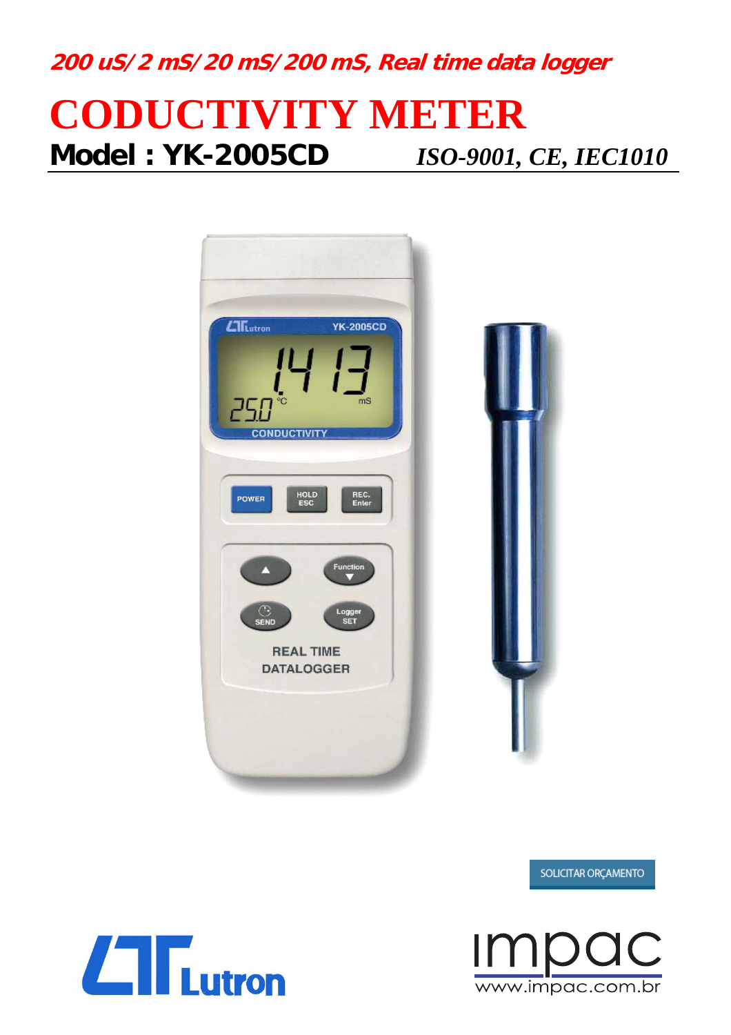**200 uS/2 mS/20 mS/200 mS, Real time data logger**

# **CODUCTIVITY METER Model : YK-2005CD** *ISO-9001, CE, IEC1010*





#### SOLICITAR ORÇAMENTO